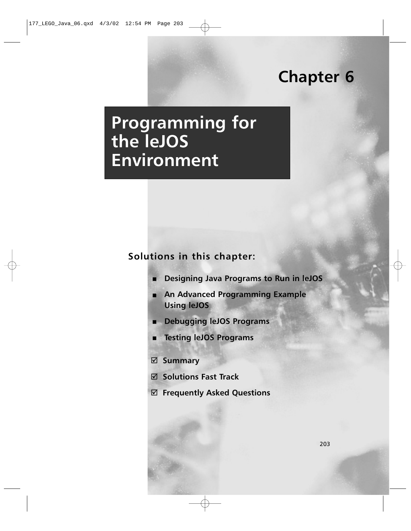# **Chapter 6**

**Programming for the leJOS Environment**

## **Solutions in this chapter:**

- **Designing Java Programs to Run in leJOS**
- **An Advanced Programming Example Using leJOS**
- **Debugging leJOS Programs**
- **Testing leJOS Programs**
- **Summary**
- **Solutions Fast Track**
- **Frequently Asked Questions**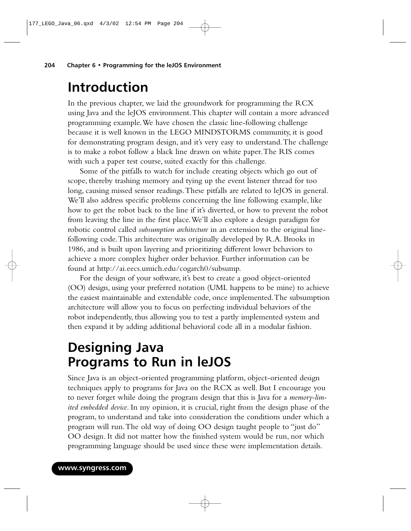# **Introduction**

In the previous chapter, we laid the groundwork for programming the RCX using Java and the leJOS environment.This chapter will contain a more advanced programming example.We have chosen the classic line-following challenge because it is well known in the LEGO MINDSTORMS community, it is good for demonstrating program design, and it's very easy to understand.The challenge is to make a robot follow a black line drawn on white paper.The RIS comes with such a paper test course, suited exactly for this challenge.

Some of the pitfalls to watch for include creating objects which go out of scope, thereby trashing memory and tying up the event listener thread for too long, causing missed sensor readings.These pitfalls are related to leJOS in general. We'll also address specific problems concerning the line following example, like how to get the robot back to the line if it's diverted, or how to prevent the robot from leaving the line in the first place.We'll also explore a design paradigm for robotic control called *subsumption architecture* in an extension to the original linefollowing code.This architecture was originally developed by R.A. Brooks in 1986, and is built upon layering and prioritizing different lower behaviors to achieve a more complex higher order behavior. Further information can be found at http://ai.eecs.umich.edu/cogarch0/subsump.

For the design of your software, it's best to create a good object-oriented (OO) design, using your preferred notation (UML happens to be mine) to achieve the easiest maintainable and extendable code, once implemented.The subsumption architecture will allow you to focus on perfecting individual behaviors of the robot independently, thus allowing you to test a partly implemented system and then expand it by adding additional behavioral code all in a modular fashion.

# **Designing Java Programs to Run in leJOS**

Since Java is an object-oriented programming platform, object-oriented design techniques apply to programs for Java on the RCX as well. But I encourage you to never forget while doing the program design that this is Java for a *memory-limited embedded device*. In my opinion, it is crucial, right from the design phase of the program, to understand and take into consideration the conditions under which a program will run.The old way of doing OO design taught people to "just do" OO design. It did not matter how the finished system would be run, nor which programming language should be used since these were implementation details.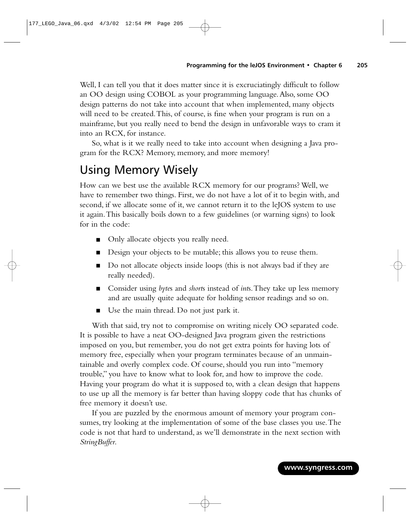Well, I can tell you that it does matter since it is excruciatingly difficult to follow an OO design using COBOL as your programming language.Also, some OO design patterns do not take into account that when implemented, many objects will need to be created.This, of course, is fine when your program is run on a mainframe, but you really need to bend the design in unfavorable ways to cram it into an RCX, for instance.

So, what is it we really need to take into account when designing a Java program for the RCX? Memory, memory, and more memory!

# Using Memory Wisely

How can we best use the available RCX memory for our programs? Well, we have to remember two things. First, we do not have a lot of it to begin with, and second, if we allocate some of it, we cannot return it to the leJOS system to use it again.This basically boils down to a few guidelines (or warning signs) to look for in the code:

- Only allocate objects you really need.
- Design your objects to be mutable; this allows you to reuse them.
- Do not allocate objects inside loops (this is not always bad if they are really needed).
- Consider using *bytes* and *shorts* instead of *ints*. They take up less memory and are usually quite adequate for holding sensor readings and so on.
- Use the main thread. Do not just park it.

With that said, try not to compromise on writing nicely OO separated code. It is possible to have a neat OO-designed Java program given the restrictions imposed on you, but remember, you do not get extra points for having lots of memory free, especially when your program terminates because of an unmaintainable and overly complex code. Of course, should you run into "memory trouble," you have to know what to look for, and how to improve the code. Having your program do what it is supposed to, with a clean design that happens to use up all the memory is far better than having sloppy code that has chunks of free memory it doesn't use.

If you are puzzled by the enormous amount of memory your program consumes, try looking at the implementation of some of the base classes you use.The code is not that hard to understand, as we'll demonstrate in the next section with *StringBuffer*.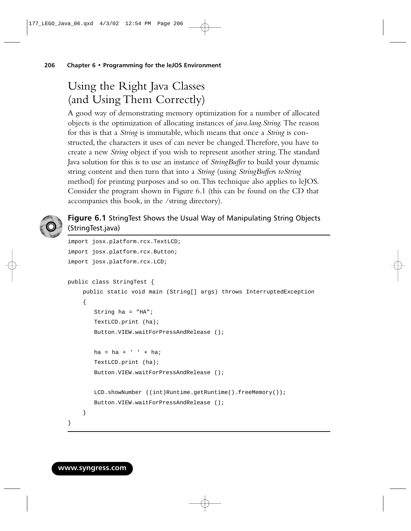## Using the Right Java Classes (and Using Them Correctly)

A good way of demonstrating memory optimization for a number of allocated objects is the optimization of allocating instances of *java.lang.String.* The reason for this is that a *String* is immutable, which means that once a *String* is constructed, the characters it uses of can never be changed.Therefore, you have to create a new *String* object if you wish to represent another string.The standard Java solution for this is to use an instance of *StringBuffer* to build your dynamic string content and then turn that into a *String* (using *StringBuffer*s *toString* method) for printing purposes and so on. This technique also applies to leJOS. Consider the program shown in Figure 6.1 (this can be found on the CD that accompanies this book, in the /string directory).



## **Figure 6.1** StringTest Shows the Usual Way of Manipulating String Objects (StringTest.java)

```
import josx.platform.rcx.TextLCD;
import josx.platform.rcx.Button;
import josx.platform.rcx.LCD;
public class StringTest {
    public static void main (String[] args) throws InterruptedException
    {
        String ha = H + H + HTextLCD.print (ha);
        Button.VIEW.waitForPressAndRelease ();
        ha = ha + ' ' + ha;
        TextLCD.print (ha);
        Button.VIEW.waitForPressAndRelease ();
        LCD.showNumber ((int)Runtime.getRuntime().freeMemory());
        Button.VIEW.waitForPressAndRelease ();
    }
}
```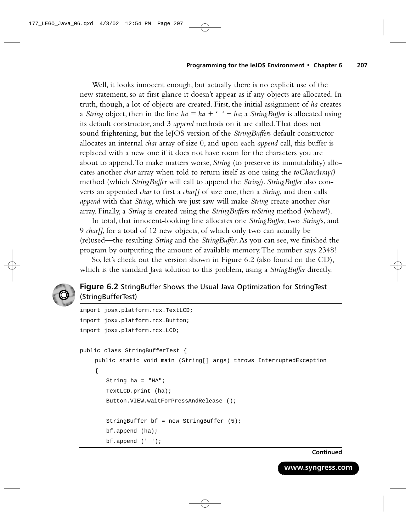Well, it looks innocent enough, but actually there is no explicit use of the new statement, so at first glance it doesn't appear as if any objects are allocated. In truth, though, a lot of objects are created. First, the initial assignment of *ha* creates a *String* object, then in the line  $ha = ha + ' ' + ha$ ; a *StringBuffer* is allocated using its default constructor, and 3 *append* methods on it are called.That does not sound frightening, but the leJOS version of the *StringBuffer*s default constructor allocates an internal *char* array of size 0, and upon each *append* call, this buffer is replaced with a new one if it does not have room for the characters you are about to append.To make matters worse, *String* (to preserve its immutability) allocates another *char* array when told to return itself as one using the *toCharArray()* method (which *StringBuffer* will call to append the *String*). *StringBuffer* also converts an appended *char* to first a *char[]* of size one, then a *String*, and then calls *append* with that *String*, which we just saw will make *String* create another *char* array. Finally, a *String* is created using the *StringBuffer*s *toString* method (whew!).

In total, that innocent-looking line allocates one *StringBuffer*, two *String*'s, and 9 *char[]*, for a total of 12 new objects, of which only two can actually be (re)used—the resulting *String* and the *StringBuffer*.As you can see, we finished the program by outputting the amount of available memory.The number says 2348!

So, let's check out the version shown in Figure 6.2 (also found on the CD), which is the standard Java solution to this problem, using a *StringBuffer* directly.



### **Figure 6.2** StringBuffer Shows the Usual Java Optimization for StringTest (StringBufferTest)

```
import josx.platform.rcx.TextLCD;
import josx.platform.rcx.Button;
import josx.platform.rcx.LCD;
public class StringBufferTest {
    public static void main (String[] args) throws InterruptedException
    {
       String ha = "HA"; 
       TextLCD.print (ha);
       Button.VIEW.waitForPressAndRelease ();
       StringBuffer bf = new StringBuffer (5);
       bf.append (ha);
       bf.append (' ');
```
**Continued**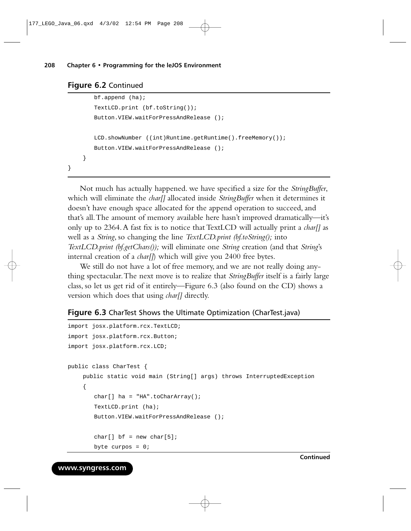#### **Figure 6.2** Continued

}

```
bf.append (ha);
   TextLCD.print (bf.toString());
   Button.VIEW.waitForPressAndRelease ();
   LCD.showNumber ((int)Runtime.getRuntime().freeMemory());
   Button.VIEW.waitForPressAndRelease ();
}
```
Not much has actually happened. we have specified a size for the *StringBuffer*, which will eliminate the *char[]* allocated inside *StringBuffer* when it determines it doesn't have enough space allocated for the append operation to succeed, and that's all.The amount of memory available here hasn't improved dramatically—it's only up to 2364.A fast fix is to notice that TextLCD will actually print a *char[]* as well as a *String*, so changing the line *TextLCD.print (bf.toString();* into *TextLCD.print (bf.getChars());* will eliminate one *String* creation (and that *String*'s internal creation of a *char[]*) which will give you 2400 free bytes.

We still do not have a lot of free memory, and we are not really doing anything spectacular.The next move is to realize that *StringBuffer* itself is a fairly large class, so let us get rid of it entirely—Figure 6.3 (also found on the CD) shows a version which does that using *char[]* directly.

#### **Figure 6.3** CharTest Shows the Ultimate Optimization (CharTest.java)

```
import josx.platform.rcx.TextLCD;
import josx.platform.rcx.Button;
import josx.platform.rcx.LCD;
public class CharTest {
    public static void main (String[] args) throws InterruptedException
    {
       char[] ha = "HA".toCharArray();
       TextLCD.print (ha);
       Button.VIEW.waitForPressAndRelease ();
       char[] bf = new char[5];
       byte curpos = 0;
```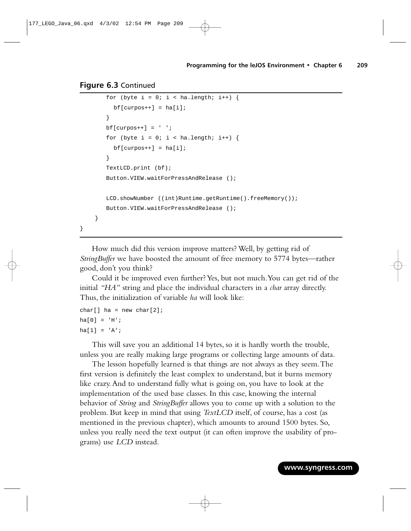#### **Figure 6.3** Continued

```
for (byte i = 0; i < ha.length; i++) {
     bf[curpos++] = ha[i];}
   bf[curpos++] = ' 'for (byte i = 0; i < ha.length; i++) {
     bf[curpos++] = ha[i];}
   TextLCD.print (bf);
   Button.VIEW.waitForPressAndRelease ();
   LCD.showNumber ((int)Runtime.getRuntime().freeMemory());
   Button.VIEW.waitForPressAndRelease ();
}
```
How much did this version improve matters? Well, by getting rid of *StringBuffer* we have boosted the amount of free memory to 5774 bytes—rather good, don't you think?

Could it be improved even further? Yes, but not much.You can get rid of the initial *"HA"* string and place the individual characters in a *char* array directly. Thus, the initialization of variable *ha* will look like:

```
char[] ha = new char[2];
ha[0] = 'H';
ha[1] = 'A';
```
}

This will save you an additional 14 bytes, so it is hardly worth the trouble, unless you are really making large programs or collecting large amounts of data.

The lesson hopefully learned is that things are not always as they seem.The first version is definitely the least complex to understand, but it burns memory like crazy.And to understand fully what is going on, you have to look at the implementation of the used base classes. In this case, knowing the internal behavior of *String* and *StringBuffer* allows you to come up with a solution to the problem. But keep in mind that using *TextLCD* itself, of course, has a cost (as mentioned in the previous chapter), which amounts to around 1500 bytes. So, unless you really need the text output (it can often improve the usability of programs) use *LCD* instead.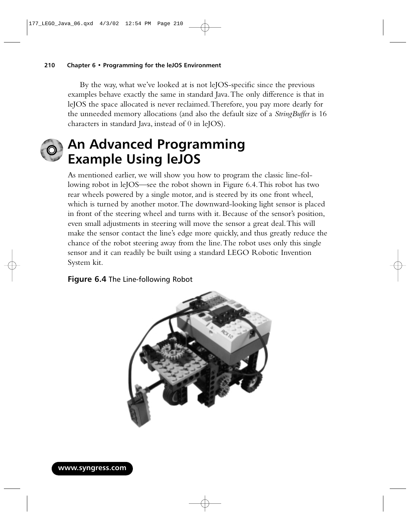By the way, what we've looked at is not leJOS-specific since the previous examples behave exactly the same in standard Java.The only difference is that in leJOS the space allocated is never reclaimed.Therefore, you pay more dearly for the unneeded memory allocations (and also the default size of a *StringBuffer* is 16 characters in standard Java, instead of 0 in leJOS).



# **An Advanced Programming Example Using leJOS**

As mentioned earlier, we will show you how to program the classic line-following robot in leJOS—see the robot shown in Figure 6.4.This robot has two rear wheels powered by a single motor, and is steered by its one front wheel, which is turned by another motor.The downward-looking light sensor is placed in front of the steering wheel and turns with it. Because of the sensor's position, even small adjustments in steering will move the sensor a great deal.This will make the sensor contact the line's edge more quickly, and thus greatly reduce the chance of the robot steering away from the line.The robot uses only this single sensor and it can readily be built using a standard LEGO Robotic Invention System kit.

### **Figure 6.4** The Line-following Robot

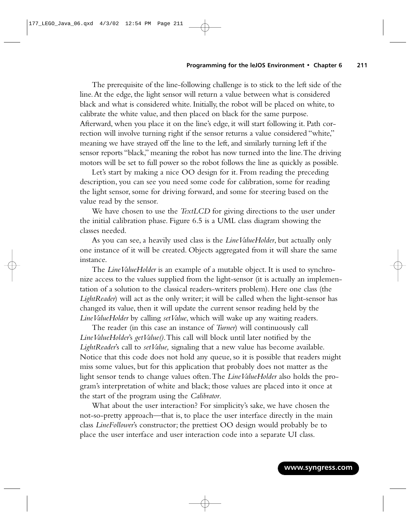The prerequisite of the line-following challenge is to stick to the left side of the line.At the edge, the light sensor will return a value between what is considered black and what is considered white. Initially, the robot will be placed on white, to calibrate the white value, and then placed on black for the same purpose. Afterward, when you place it on the line's edge, it will start following it. Path correction will involve turning right if the sensor returns a value considered "white," meaning we have strayed off the line to the left, and similarly turning left if the sensor reports "black," meaning the robot has now turned into the line.The driving motors will be set to full power so the robot follows the line as quickly as possible.

Let's start by making a nice OO design for it. From reading the preceding description, you can see you need some code for calibration, some for reading the light sensor, some for driving forward, and some for steering based on the value read by the sensor.

We have chosen to use the *TextLCD* for giving directions to the user under the initial calibration phase. Figure 6.5 is a UML class diagram showing the classes needed.

As you can see, a heavily used class is the *LineValueHolder*, but actually only one instance of it will be created. Objects aggregated from it will share the same instance.

The *LineValueHolder* is an example of a mutable object. It is used to synchronize access to the values supplied from the light-sensor (it is actually an implementation of a solution to the classical readers-writers problem). Here one class (the *LightReader*) will act as the only writer; it will be called when the light-sensor has changed its value, then it will update the current sensor reading held by the *LineValueHolder* by calling *setValue*, which will wake up any waiting readers.

The reader (in this case an instance of *Turner*) will continuously call *LineValueHolder*'s *getValue()*.This call will block until later notified by the *LightReader*'s call to *setValue,* signaling that a new value has become available. Notice that this code does not hold any queue, so it is possible that readers might miss some values, but for this application that probably does not matter as the light sensor tends to change values often.The *LineValueHolder* also holds the program's interpretation of white and black; those values are placed into it once at the start of the program using the *Calibrator*.

What about the user interaction? For simplicity's sake, we have chosen the not-so-pretty approach—that is, to place the user interface directly in the main class *LineFollower*'s constructor; the prettiest OO design would probably be to place the user interface and user interaction code into a separate UI class.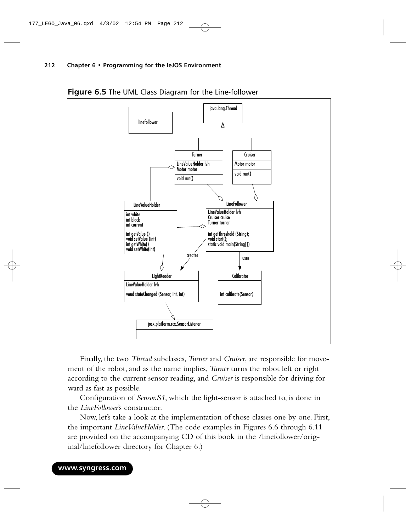

**Figure 6.5** The UML Class Diagram for the Line-follower

Finally, the two *Thread* subclasses, *Turner* and *Cruiser*, are responsible for movement of the robot, and as the name implies, *Turner* turns the robot left or right according to the current sensor reading, and *Cruiser* is responsible for driving forward as fast as possible.

Configuration of *Sensor.S1*, which the light-sensor is attached to, is done in the *LineFollower*'s constructor.

Now, let's take a look at the implementation of those classes one by one. First, the important *LineValueHolder*. (The code examples in Figures 6.6 through 6.11 are provided on the accompanying CD of this book in the /linefollower/original/linefollower directory for Chapter 6.)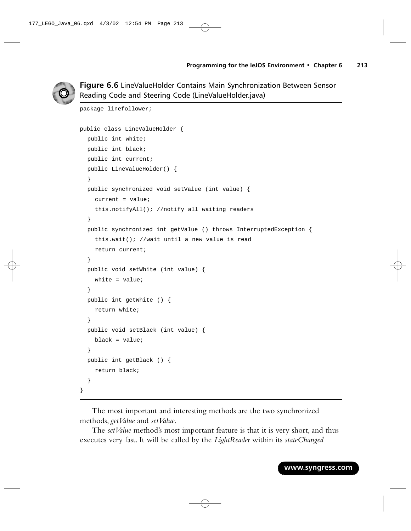

package linefollower;

**Figure 6.6** LineValueHolder Contains Main Synchronization Between Sensor Reading Code and Steering Code (LineValueHolder.java)

```
public class LineValueHolder {
  public int white;
  public int black;
  public int current;
  public LineValueHolder() {
  }
  public synchronized void setValue (int value) {
    current = value;this.notifyAll(); //notify all waiting readers
  }
  public synchronized int getValue () throws InterruptedException {
    this.wait(); //wait until a new value is read
    return current;
  }
  public void setWhite (int value) {
    white = value;
  }
  public int getWhite () {
    return white;
  }
  public void setBlack (int value) {
    black = value;
  }
  public int getBlack () {
    return black;
  }
}
```
The most important and interesting methods are the two synchronized methods, *getValue* and *setValue*.

The *setValue* method's most important feature is that it is very short, and thus executes very fast. It will be called by the *LightReader* within its *stateChanged*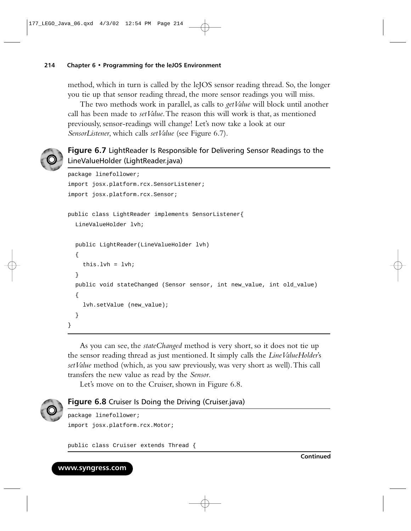method, which in turn is called by the leJOS sensor reading thread. So, the longer you tie up that sensor reading thread, the more sensor readings you will miss.

The two methods work in parallel, as calls to *getValue* will block until another call has been made to *setValue*.The reason this will work is that, as mentioned previously, sensor-readings will change! Let's now take a look at our *SensorListener*, which calls *setValue* (see Figure 6.7).



## **Figure 6.7** LightReader Is Responsible for Delivering Sensor Readings to the LineValueHolder (LightReader.java)

```
package linefollower;
import josx.platform.rcx.SensorListener;
import josx.platform.rcx.Sensor;
public class LightReader implements SensorListener{
  LineValueHolder lvh;
  public LightReader(LineValueHolder lvh) 
  {
    this.lvh = lvh;
  }
  public void stateChanged (Sensor sensor, int new_value, int old_value)
  {
    lvh.setValue (new_value);
  }
}
```
As you can see, the *stateChanged* method is very short, so it does not tie up the sensor reading thread as just mentioned. It simply calls the *LineValueHolder*'s *setValue* method (which, as you saw previously, was very short as well).This call transfers the new value as read by the *Sensor*.

Let's move on to the Cruiser, shown in Figure 6.8.

### **Figure 6.8** Cruiser Is Doing the Driving (Cruiser.java)

```
package linefollower;
import josx.platform.rcx.Motor;
```

```
public class Cruiser extends Thread {
```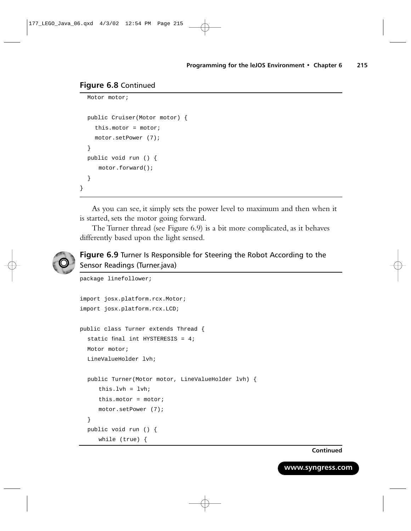#### **Figure 6.8** Continued

Motor motor;

```
public Cruiser(Motor motor) {
  this.motor = motor;
  motor.setPower (7);
}
public void run () {
   motor.forward();
}
```
As you can see, it simply sets the power level to maximum and then when it is started, sets the motor going forward.

The Turner thread (see Figure 6.9) is a bit more complicated, as it behaves differently based upon the light sensed.



}

**Figure 6.9** Turner Is Responsible for Steering the Robot According to the Sensor Readings (Turner.java)

```
package linefollower;
import josx.platform.rcx.Motor;
import josx.platform.rcx.LCD;
public class Turner extends Thread {
  static final int HYSTERESIS = 4;
  Motor motor;
  LineValueHolder lvh;
  public Turner(Motor motor, LineValueHolder lvh) {
     this.lvh = lvh;
     this.motor = motor;
     motor.setPower (7);
  }
  public void run () {
     while (true) {
```
**Continued**

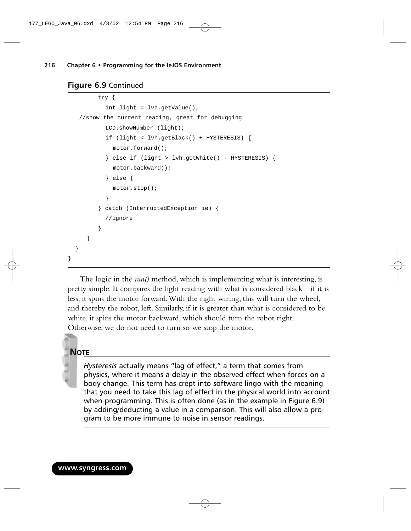#### **Figure 6.9** Continued

```
try {
           int light = lvh.getValue();
   //show the current reading, great for debugging
           LCD.showNumber (light); 
           if (light < lvh.getBlack() + HYSTERESIS) {
             motor.forward();
           } else if (light > lvh.getWhite() - HYSTERESIS) {
             motor.backward();
           } else {
             motor.stop();
           }
         } catch (InterruptedException ie) {
           //ignore
         }
     }
  }
}
```
The logic in the *run()* method, which is implementing what is interesting, is pretty simple. It compares the light reading with what is considered black—if it is less, it spins the motor forward.With the right wiring, this will turn the wheel, and thereby the robot, left. Similarly, if it is greater than what is considered to be white, it spins the motor backward, which should turn the robot right. Otherwise, we do not need to turn so we stop the motor.

## **NOTE**

*Hysteresis* actually means "lag of effect," a term that comes from physics, where it means a delay in the observed effect when forces on a body change. This term has crept into software lingo with the meaning that you need to take this lag of effect in the physical world into account when programming. This is often done (as in the example in Figure 6.9) by adding/deducting a value in a comparison. This will also allow a program to be more immune to noise in sensor readings.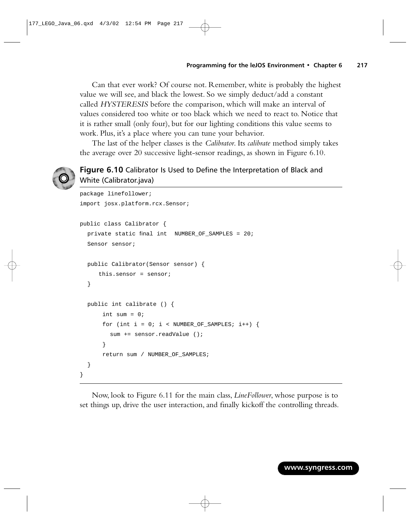Can that ever work? Of course not. Remember, white is probably the highest value we will see, and black the lowest. So we simply deduct/add a constant called *HYSTERESIS* before the comparison, which will make an interval of values considered too white or too black which we need to react to. Notice that it is rather small (only four), but for our lighting conditions this value seems to work. Plus, it's a place where you can tune your behavior.

The last of the helper classes is the *Calibrator*. Its *calibrate* method simply takes the average over 20 successive light-sensor readings, as shown in Figure 6.10.



### **Figure 6.10** Calibrator Is Used to Define the Interpretation of Black and White (Calibrator.java)

```
package linefollower;
import josx.platform.rcx.Sensor;
public class Calibrator {
  private static final int NUMBER_OF_SAMPLES = 20;
  Sensor sensor;
  public Calibrator(Sensor sensor) {
     this.sensor = sensor;
  }
  public int calibrate () {
      int sum = 0;for (int i = 0; i < NUMBER_OF_SAMPLES; i++) {
        sum += sensor.readValue ();
      }
      return sum / NUMBER_OF_SAMPLES;
  }
}
```
Now, look to Figure 6.11 for the main class, *LineFollower*, whose purpose is to set things up, drive the user interaction, and finally kickoff the controlling threads.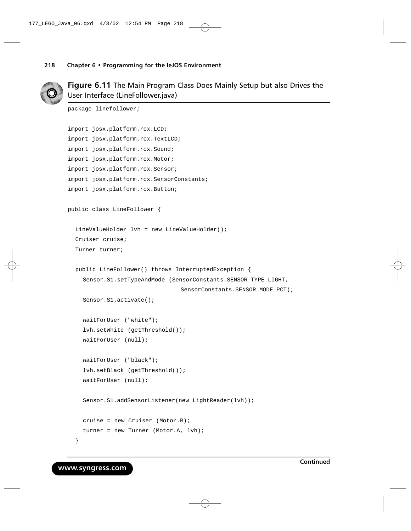package linefollower;



### **Figure 6.11** The Main Program Class Does Mainly Setup but also Drives the User Interface (LineFollower.java)

```
import josx.platform.rcx.LCD;
import josx.platform.rcx.TextLCD;
import josx.platform.rcx.Sound;
import josx.platform.rcx.Motor;
import josx.platform.rcx.Sensor;
import josx.platform.rcx.SensorConstants;
import josx.platform.rcx.Button;
public class LineFollower {
  LineValueHolder lvh = new LineValueHolder();
  Cruiser cruise;
  Turner turner;
  public LineFollower() throws InterruptedException {
    Sensor.S1.setTypeAndMode (SensorConstants.SENSOR_TYPE_LIGHT,
                                 SensorConstants.SENSOR_MODE_PCT);
    Sensor.S1.activate();
    waitForUser ("white");
    lvh.setWhite (getThreshold());
    waitForUser (null);
    waitForUser ("black");
    lvh.setBlack (getThreshold());
    waitForUser (null);
    Sensor.S1.addSensorListener(new LightReader(lvh));
    cruise = new Cruiser (Motor.B);
    turner = new Turner (Motor.A, lvh);
  }
```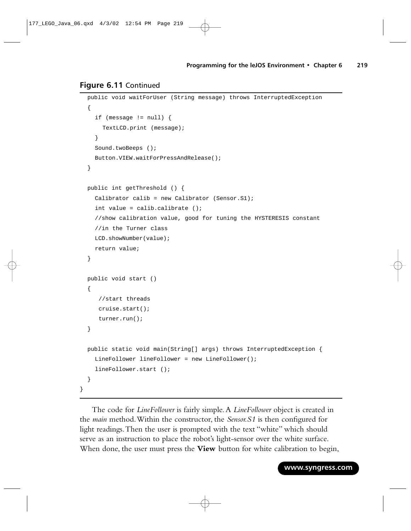#### **Figure 6.11** Continued

}

```
public void waitForUser (String message) throws InterruptedException 
{
  if (message != null) {
    TextLCD.print (message);
  }
  Sound.twoBeeps ();
  Button.VIEW.waitForPressAndRelease();
}
public int getThreshold () {
  Calibrator calib = new Calibrator (Sensor.S1);
  int value = calib.calibrate ();
  //show calibration value, good for tuning the HYSTERESIS constant 
  //in the Turner class
  LCD.showNumber(value);
  return value;
}
public void start ()
{
   //start threads
   cruise.start();
   turner.run();
}
public static void main(String[] args) throws InterruptedException {
  LineFollower lineFollower = new LineFollower();
  lineFollower.start ();
}
```
The code for *LineFollower* is fairly simple.A *LineFollower* object is created in the *main* method.Within the constructor, the *Sensor.S1* is then configured for light readings.Then the user is prompted with the text "white" which should serve as an instruction to place the robot's light-sensor over the white surface. When done, the user must press the **View** button for white calibration to begin,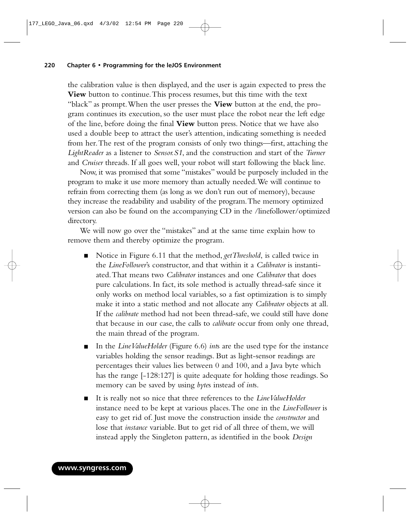the calibration value is then displayed, and the user is again expected to press the **View** button to continue.This process resumes, but this time with the text "black" as prompt.When the user presses the **View** button at the end, the program continues its execution, so the user must place the robot near the left edge of the line, before doing the final **View** button press. Notice that we have also used a double beep to attract the user's attention, indicating something is needed from her.The rest of the program consists of only two things—first, attaching the *LightReader* as a listener to *Sensor.S1*, and the construction and start of the *Turner* and *Cruiser* threads. If all goes well, your robot will start following the black line.

Now, it was promised that some "mistakes" would be purposely included in the program to make it use more memory than actually needed.We will continue to refrain from correcting them (as long as we don't run out of memory), because they increase the readability and usability of the program.The memory optimized version can also be found on the accompanying CD in the /linefollower/optimized directory.

We will now go over the "mistakes" and at the same time explain how to remove them and thereby optimize the program.

- Notice in Figure 6.11 that the method, *getThreshold*, is called twice in the *LineFollower*'s constructor, and that within it a *Calibrator* is instantiated.That means two *Calibrator* instances and one *Calibrator* that does pure calculations. In fact, its sole method is actually thread-safe since it only works on method local variables, so a fast optimization is to simply make it into a static method and not allocate any *Calibrator* objects at all. If the *calibrate* method had not been thread-safe, we could still have done that because in our case, the calls to *calibrate* occur from only one thread, the main thread of the program.
- In the *LineValueHolder* (Figure 6.6) *ints* are the used type for the instance variables holding the sensor readings. But as light-sensor readings are percentages their values lies between 0 and 100, and a Java byte which has the range [-128:127] is quite adequate for holding those readings. So memory can be saved by using *byte*s instead of *int*s.
- It is really not so nice that three references to the *LineValueHolder* instance need to be kept at various places.The one in the *LineFollower* is easy to get rid of. Just move the construction inside the *constructor* and lose that *instance* variable. But to get rid of all three of them, we will instead apply the Singleton pattern, as identified in the book *Design*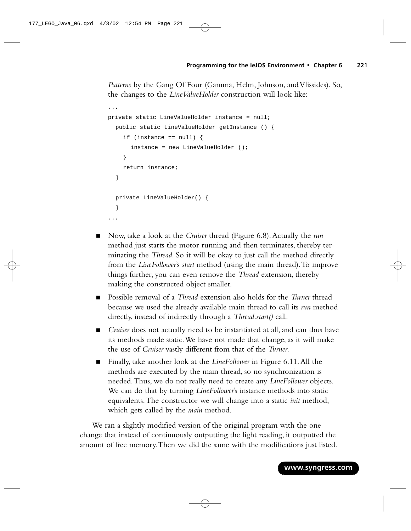*Patterns* by the Gang Of Four (Gamma, Helm, Johnson, and Vlissides). So, the changes to the *LineValueHolder* construction will look like:

```
private static LineValueHolder instance = null;
  public static LineValueHolder getInstance () {
    if (instance == null) {
      instance = new LineValueHolder ();
    }
    return instance;
  }
  private LineValueHolder() {
  }
...
```
- Now, take a look at the *Cruiser* thread (Figure 6.8). Actually the *run* method just starts the motor running and then terminates, thereby terminating the *Thread*. So it will be okay to just call the method directly from the *LineFollower*'s *start* method (using the main thread).To improve things further, you can even remove the *Thread* extension, thereby making the constructed object smaller.
- Possible removal of a *Thread* extension also holds for the *Turner* thread because we used the already available main thread to call its *run* method directly, instead of indirectly through a *Thread*.*start()* call.
- *Cruiser* does not actually need to be instantiated at all, and can thus have its methods made static.We have not made that change, as it will make the use of *Cruiser* vastly different from that of the *Turner*.
- Finally, take another look at the *LineFollower* in Figure 6.11. All the methods are executed by the main thread, so no synchronization is needed.Thus, we do not really need to create any *LineFollower* objects. We can do that by turning *LineFollower*'s instance methods into static equivalents.The constructor we will change into a static *init* method, which gets called by the *main* method.

We ran a slightly modified version of the original program with the one change that instead of continuously outputting the light reading, it outputted the amount of free memory.Then we did the same with the modifications just listed.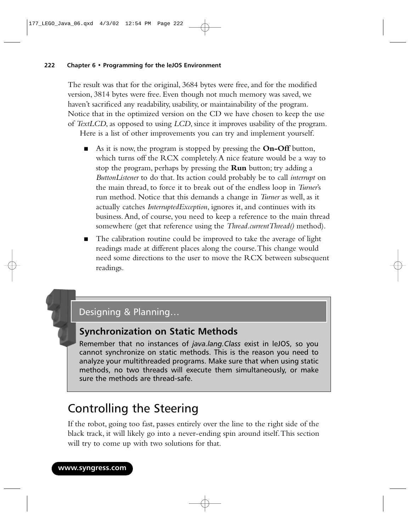The result was that for the original, 3684 bytes were free, and for the modified version, 3814 bytes were free. Even though not much memory was saved, we haven't sacrificed any readability, usability, or maintainability of the program. Notice that in the optimized version on the CD we have chosen to keep the use of *TextLCD*, as opposed to using *LCD*, since it improves usability of the program. Here is a list of other improvements you can try and implement yourself.

- As it is now, the program is stopped by pressing the **On-Off** button, which turns off the RCX completely.A nice feature would be a way to stop the program, perhaps by pressing the **Run** button; try adding a *ButtonListener* to do that. Its action could probably be to call *interrupt* on the main thread, to force it to break out of the endless loop in *Turner*'s run method. Notice that this demands a change in *Turner* as well, as it actually catches *InterruptedException*, ignores it, and continues with its business.And, of course, you need to keep a reference to the main thread somewhere (get that reference using the *Thread.currentThread()* method).
- The calibration routine could be improved to take the average of light readings made at different places along the course.This change would need some directions to the user to move the RCX between subsequent readings.

## Designing & Planning…

## **Synchronization on Static Methods**

Remember that no instances of *java.lang.Class* exist in leJOS, so you cannot synchronize on static methods. This is the reason you need to analyze your multithreaded programs. Make sure that when using static methods, no two threads will execute them simultaneously, or make sure the methods are thread-safe.

# Controlling the Steering

If the robot, going too fast, passes entirely over the line to the right side of the black track, it will likely go into a never-ending spin around itself.This section will try to come up with two solutions for that.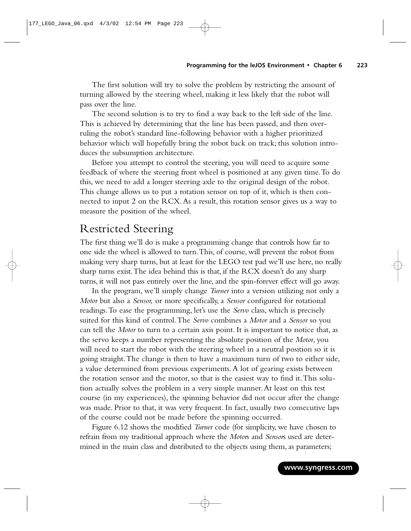The first solution will try to solve the problem by restricting the amount of turning allowed by the steering wheel, making it less likely that the robot will pass over the line.

The second solution is to try to find a way back to the left side of the line. This is achieved by determining that the line has been passed, and then overruling the robot's standard line-following behavior with a higher prioritized behavior which will hopefully bring the robot back on track; this solution introduces the subsumption architecture.

Before you attempt to control the steering, you will need to acquire some feedback of where the steering front wheel is positioned at any given time.To do this, we need to add a longer steering axle to the original design of the robot. This change allows us to put a rotation sensor on top of it, which is then connected to input 2 on the RCX.As a result, this rotation sensor gives us a way to measure the position of the wheel.

## Restricted Steering

The first thing we'll do is make a programming change that controls how far to one side the wheel is allowed to turn.This, of course, will prevent the robot from making very sharp turns, but at least for the LEGO test pad we'll use here, no really sharp turns exist.The idea behind this is that, if the RCX doesn't do any sharp turns, it will not pass entirely over the line, and the spin-forever effect will go away.

In the program, we'll simply change *Turner* into a version utilizing not only a *Motor* but also a *Sensor,* or more specifically, a *Sensor* configured for rotational readings.To ease the programming, let's use the *Servo* class, which is precisely suited for this kind of control.The *Servo* combines a *Motor* and a *Sensor* so you can tell the *Motor* to turn to a certain axis point. It is important to notice that, as the servo keeps a number representing the absolute position of the *Motor*, you will need to start the robot with the steering wheel in a neutral position so it is going straight.The change is then to have a maximum turn of two to either side, a value determined from previous experiments.A lot of gearing exists between the rotation sensor and the motor, so that is the easiest way to find it.This solution actually solves the problem in a very simple manner.At least on this test course (in my experiences), the spinning behavior did not occur after the change was made. Prior to that, it was very frequent. In fact, usually two consecutive laps of the course could not be made before the spinning occurred.

Figure 6.12 shows the modified *Turner* code (for simplicity, we have chosen to refrain from my traditional approach where the *Motor*s and *Sensor*s used are determined in the main class and distributed to the objects using them, as parameters;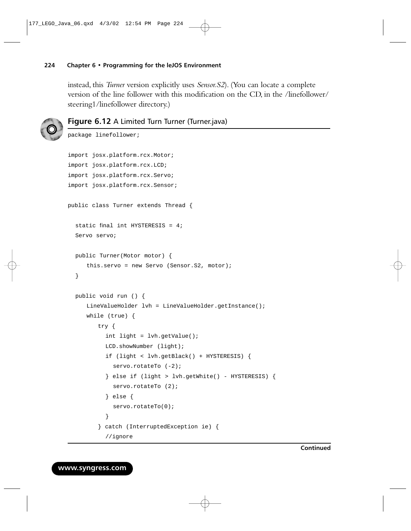instead, this *Turner* version explicitly uses *Sensor.S2*). (You can locate a complete version of the line follower with this modification on the CD, in the /linefollower/ steering1/linefollower directory.)



### **Figure 6.12** A Limited Turn Turner (Turner.java)

```
package linefollower;
import josx.platform.rcx.Motor;
import josx.platform.rcx.LCD;
import josx.platform.rcx.Servo;
import josx.platform.rcx.Sensor;
public class Turner extends Thread {
  static final int HYSTERESIS = 4;
  Servo servo;
  public Turner(Motor motor) {
     this.servo = new Servo (Sensor.S2, motor);
  }
  public void run () {
     LineValueHolder lvh = LineValueHolder.getInstance();
     while (true) {
        try {
           int light = lvh.getValue();
           LCD.showNumber (light);
           if (light < lvh.getBlack() + HYSTERESIS) {
             servo.rotateTo (-2);
           } else if (light > lvh.getWhite() - HYSTERESIS) {
             servo.rotateTo (2);
           } else {
             servo.rotateTo(0);
           }
         } catch (InterruptedException ie) {
           //ignore
```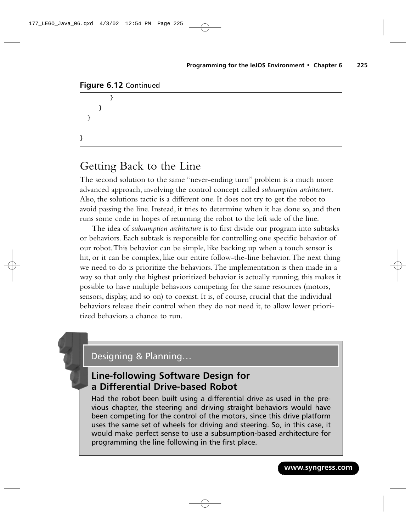#### **Figure 6.12** Continued

}

}

}

}

## Getting Back to the Line

The second solution to the same "never-ending turn" problem is a much more advanced approach, involving the control concept called *subsumption architecture*. Also, the solutions tactic is a different one. It does not try to get the robot to avoid passing the line. Instead, it tries to determine when it has done so, and then runs some code in hopes of returning the robot to the left side of the line.

The idea of *subsumption architecture* is to first divide our program into subtasks or behaviors. Each subtask is responsible for controlling one specific behavior of our robot.This behavior can be simple, like backing up when a touch sensor is hit, or it can be complex, like our entire follow-the-line behavior.The next thing we need to do is prioritize the behaviors.The implementation is then made in a way so that only the highest prioritized behavior is actually running, this makes it possible to have multiple behaviors competing for the same resources (motors, sensors, display, and so on) to coexist. It is, of course, crucial that the individual behaviors release their control when they do not need it, to allow lower prioritized behaviors a chance to run.

## Designing & Planning…

## **Line-following Software Design for a Differential Drive-based Robot**

Had the robot been built using a differential drive as used in the previous chapter, the steering and driving straight behaviors would have been competing for the control of the motors, since this drive platform uses the same set of wheels for driving and steering. So, in this case, it would make perfect sense to use a subsumption-based architecture for programming the line following in the first place.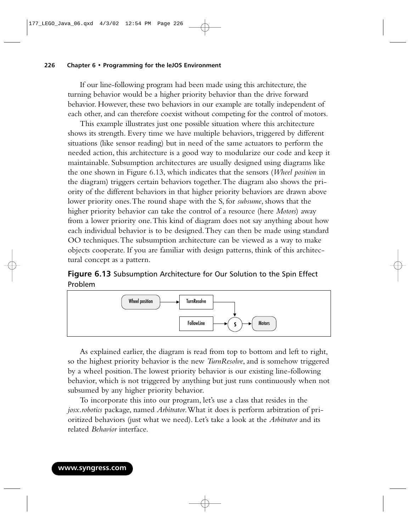If our line-following program had been made using this architecture, the turning behavior would be a higher priority behavior than the drive forward behavior. However, these two behaviors in our example are totally independent of each other, and can therefore coexist without competing for the control of motors.

This example illustrates just one possible situation where this architecture shows its strength. Every time we have multiple behaviors, triggered by different situations (like sensor reading) but in need of the same actuators to perform the needed action, this architecture is a good way to modularize our code and keep it maintainable. Subsumption architectures are usually designed using diagrams like the one shown in Figure 6.13, which indicates that the sensors (*Wheel position* in the diagram) triggers certain behaviors together.The diagram also shows the priority of the different behaviors in that higher priority behaviors are drawn above lower priority ones.The round shape with the S, for *subsume*, shows that the higher priority behavior can take the control of a resource (here *Motors*) away from a lower priority one.This kind of diagram does not say anything about how each individual behavior is to be designed.They can then be made using standard OO techniques.The subsumption architecture can be viewed as a way to make objects cooperate. If you are familiar with design patterns, think of this architectural concept as a pattern.

**Figure 6.13** Subsumption Architecture for Our Solution to the Spin Effect Problem



As explained earlier, the diagram is read from top to bottom and left to right, so the highest priority behavior is the new *TurnResolve*, and is somehow triggered by a wheel position.The lowest priority behavior is our existing line-following behavior, which is not triggered by anything but just runs continuously when not subsumed by any higher priority behavior.

To incorporate this into our program, let's use a class that resides in the *josx.robotics* package, named *Arbitrator*.What it does is perform arbitration of prioritized behaviors (just what we need). Let's take a look at the *Arbitrator* and its related *Behavior* interface.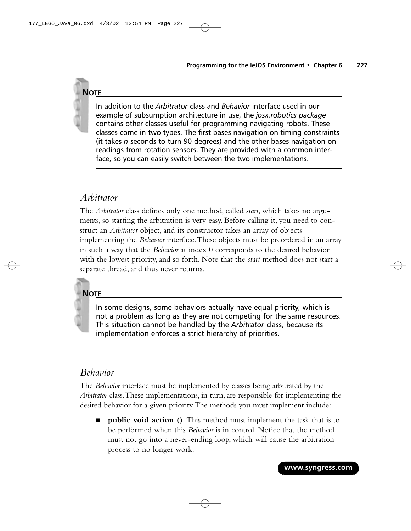### **NOTE**

In addition to the *Arbitrator* class and *Behavior* interface used in our example of subsumption architecture in use, the *josx.robotics package* contains other classes useful for programming navigating robots. These classes come in two types. The first bases navigation on timing constraints (it takes *n* seconds to turn 90 degrees) and the other bases navigation on readings from rotation sensors. They are provided with a common interface, so you can easily switch between the two implementations.

## *Arbitrator*

The *Arbitrator* class defines only one method, called *start*, which takes no arguments, so starting the arbitration is very easy. Before calling it, you need to construct an *Arbitrator* object, and its constructor takes an array of objects implementing the *Behavior* interface.These objects must be preordered in an array in such a way that the *Behavior* at index 0 corresponds to the desired behavior with the lowest priority, and so forth. Note that the *start* method does not start a separate thread, and thus never returns.

#### **NOTE**

In some designs, some behaviors actually have equal priority, which is not a problem as long as they are not competing for the same resources. This situation cannot be handled by the *Arbitrator* class, because its implementation enforces a strict hierarchy of priorities.

### *Behavior*

The *Behavior* interface must be implemented by classes being arbitrated by the *Arbitrator* class.These implementations, in turn, are responsible for implementing the desired behavior for a given priority.The methods you must implement include:

**public void action ()** This method must implement the task that is to be performed when this *Behavior* is in control. Notice that the method must not go into a never-ending loop, which will cause the arbitration process to no longer work.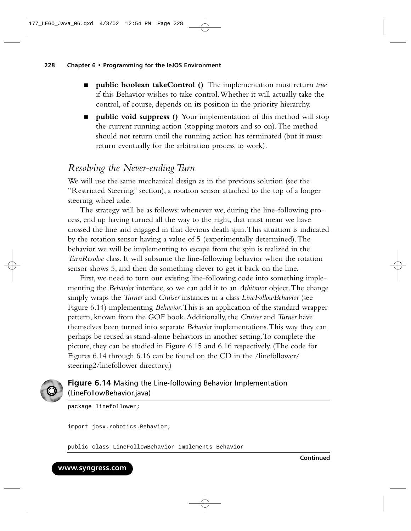- **public boolean takeControl ()** The implementation must return *true* if this Behavior wishes to take control.Whether it will actually take the control, of course, depends on its position in the priority hierarchy.
- **public void suppress ()** Your implementation of this method will stop the current running action (stopping motors and so on).The method should not return until the running action has terminated (but it must return eventually for the arbitration process to work).

## *Resolving the Never-ending Turn*

We will use the same mechanical design as in the previous solution (see the "Restricted Steering" section), a rotation sensor attached to the top of a longer steering wheel axle.

The strategy will be as follows: whenever we, during the line-following process, end up having turned all the way to the right, that must mean we have crossed the line and engaged in that devious death spin.This situation is indicated by the rotation sensor having a value of 5 (experimentally determined).The behavior we will be implementing to escape from the spin is realized in the *TurnResolve* class. It will subsume the line-following behavior when the rotation sensor shows 5, and then do something clever to get it back on the line.

First, we need to turn our existing line-following code into something implementing the *Behavior* interface, so we can add it to an *Arbitrator* object.The change simply wraps the *Turner* and *Cruiser* instances in a class *LineFollowBehavior* (see Figure 6.14) implementing *Behavior*.This is an application of the standard wrapper pattern, known from the GOF book.Additionally, the *Cruiser* and *Turner* have themselves been turned into separate *Behavior* implementations.This way they can perhaps be reused as stand-alone behaviors in another setting.To complete the picture, they can be studied in Figure 6.15 and 6.16 respectively. (The code for Figures 6.14 through 6.16 can be found on the CD in the /linefollower/ steering2/linefollower directory.)



## **Figure 6.14** Making the Line-following Behavior Implementation (LineFollowBehavior.java)

package linefollower;

import josx.robotics.Behavior;

public class LineFollowBehavior implements Behavior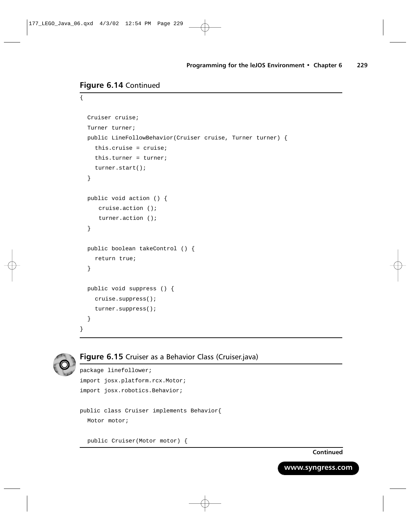### **Figure 6.14** Continued

{

```
Cruiser cruise;
 Turner turner;
 public LineFollowBehavior(Cruiser cruise, Turner turner) {
    this.cruise = cruise;
    this.turner = turner;
    turner.start();
  }
 public void action () {
     cruise.action ();
     turner.action ();
  }
 public boolean takeControl () {
   return true;
  }
 public void suppress () {
    cruise.suppress();
    turner.suppress();
  }
}
```


#### **Figure 6.15** Cruiser as a Behavior Class (Cruiser.java)

```
package linefollower;
import josx.platform.rcx.Motor;
import josx.robotics.Behavior;
public class Cruiser implements Behavior{
  Motor motor;
  public Cruiser(Motor motor) {
```
**Continued**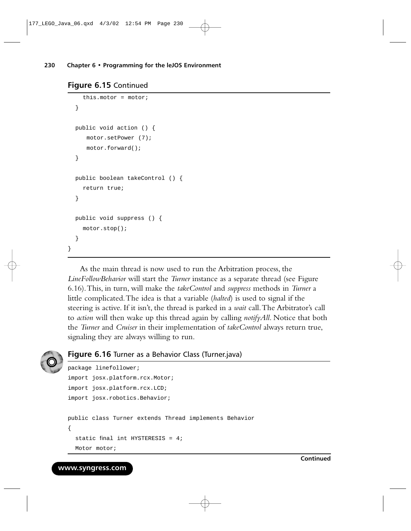#### **Figure 6.15** Continued

```
this.motor = motor;
  }
  public void action () {
     motor.setPower (7);
     motor.forward();
  }
 public boolean takeControl () {
    return true;
  }
  public void suppress () {
    motor.stop();
  }
}
```
As the main thread is now used to run the Arbitration process, the *LineFollowBehavior* will start the *Turner* instance as a separate thread (see Figure 6.16).This, in turn, will make the *takeControl* and *suppress* methods in *Turner* a little complicated.The idea is that a variable (*halted*) is used to signal if the steering is active. If it isn't, the thread is parked in a *wait* call.The Arbitrator's call to *action* will then wake up this thread again by calling *notifyAll*. Notice that both the *Turner* and *Cruiser* in their implementation of *takeControl* always return true, signaling they are always willing to run.



```
Figure 6.16 Turner as a Behavior Class (Turner.java)
```

```
package linefollower;
import josx.platform.rcx.Motor;
import josx.platform.rcx.LCD;
import josx.robotics.Behavior;
public class Turner extends Thread implements Behavior
{
  static final int HYSTERESIS = 4;
  Motor motor;
```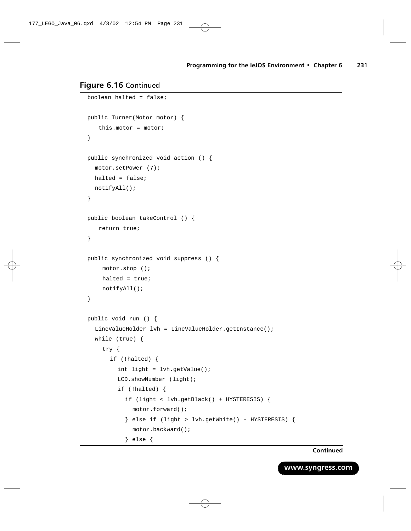#### **Figure 6.16** Continued

```
boolean halted = false;
public Turner(Motor motor) {
   this.motor = motor;
}
public synchronized void action () {
  motor.setPower (7);
  halted = false;
  notifyAll();
}
public boolean takeControl () {
   return true;
}
public synchronized void suppress () {
    motor.stop ();
    halted = true;
    notifyAll();
}
public void run () {
  LineValueHolder lvh = LineValueHolder.getInstance();
  while (true) {
    try {
      if (!halted) {
         int light = lvh.getValue();
         LCD.showNumber (light);
         if (!halted) {
           if (light < lvh.getBlack() + HYSTERESIS) {
             motor.forward();
           } else if (light > lvh.getWhite() - HYSTERESIS) {
             motor.backward();
           } else {
```
**Continued**

**www.syngress.com**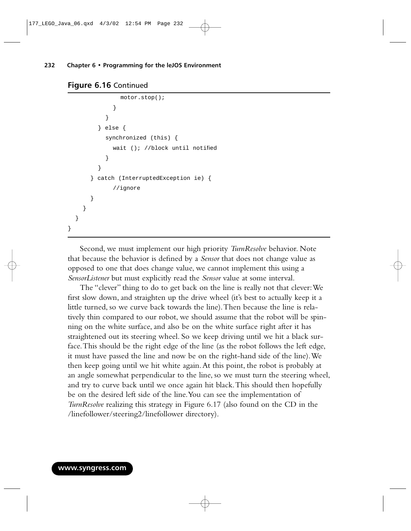#### **Figure 6.16** Continued

```
motor.stop();
              }
           }
         } else {
           synchronized (this) {
              wait (); //block until notified
           }
         }
      } catch (InterruptedException ie) {
              //ignore
      }
    }
  }
}
```
Second, we must implement our high priority *TurnResolve* behavior. Note that because the behavior is defined by a *Sensor* that does not change value as opposed to one that does change value, we cannot implement this using a *SensorListener* but must explicitly read the *Sensor* value at some interval.

The "clever" thing to do to get back on the line is really not that clever:We first slow down, and straighten up the drive wheel (it's best to actually keep it a little turned, so we curve back towards the line).Then because the line is relatively thin compared to our robot, we should assume that the robot will be spinning on the white surface, and also be on the white surface right after it has straightened out its steering wheel. So we keep driving until we hit a black surface.This should be the right edge of the line (as the robot follows the left edge, it must have passed the line and now be on the right-hand side of the line).We then keep going until we hit white again.At this point, the robot is probably at an angle somewhat perpendicular to the line, so we must turn the steering wheel, and try to curve back until we once again hit black.This should then hopefully be on the desired left side of the line.You can see the implementation of *TurnResolve* realizing this strategy in Figure 6.17 (also found on the CD in the /linefollower/steering2/linefollower directory).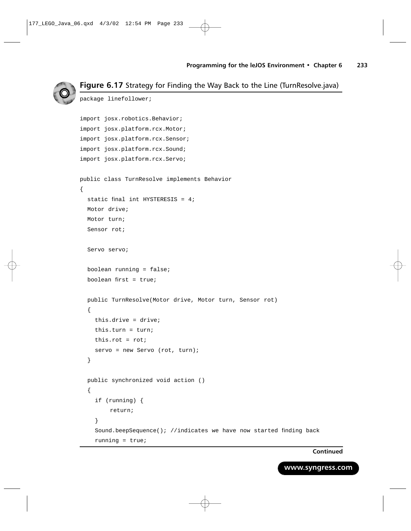```
Figure 6.17 Strategy for Finding the Way Back to the Line (TurnResolve.java)
package linefollower;
import josx.robotics.Behavior;
import josx.platform.rcx.Motor;
import josx.platform.rcx.Sensor;
import josx.platform.rcx.Sound;
import josx.platform.rcx.Servo;
public class TurnResolve implements Behavior
{
  static final int HYSTERESIS = 4;
  Motor drive;
  Motor turn;
  Sensor rot;
  Servo servo;
  boolean running = false;
  boolean first = true;
  public TurnResolve(Motor drive, Motor turn, Sensor rot)
  {
    this.drive = drive;
    this.turn = turn;
    this.rot = rot;
    servo = new Servo (rot, turn);
  }
  public synchronized void action ()
  {
    if (running) {
        return;
    }
    Sound.beepSequence(); //indicates we have now started finding back
    running = true;
```
**Continued**

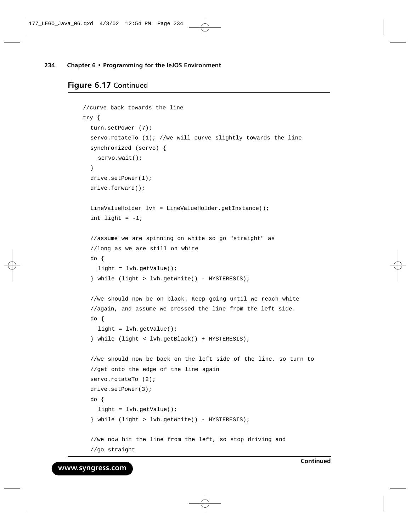### **Figure 6.17** Continued

```
//curve back towards the line
try {
  turn.setPower (7);
  servo.rotateTo (1); //we will curve slightly towards the line
  synchronized (servo) {
    servo.wait();
  }
  drive.setPower(1);
  drive.forward();
  LineValueHolder lvh = LineValueHolder.getInstance();
  int light = -1;
  //assume we are spinning on white so go "straight" as 
  //long as we are still on white
  do {
    light = lvh.getValue();
  } while (light > lvh.getWhite() - HYSTERESIS);
  //we should now be on black. Keep going until we reach white 
  //again, and assume we crossed the line from the left side.
  do {
    light = lvh.getValue();
  } while (light < lvh.getBlack() + HYSTERESIS);
  //we should now be back on the left side of the line, so turn to
  //get onto the edge of the line again
  servo.rotateTo (2);
  drive.setPower(3);
  do {
    light = lvh.getValue();
  } while (light > lvh.getWhite() - HYSTERESIS);
  //we now hit the line from the left, so stop driving and 
  //go straight
```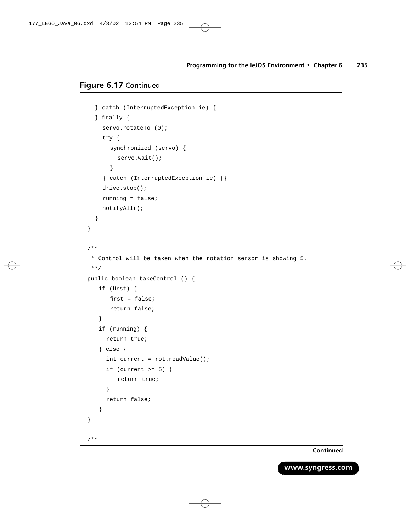### **Figure 6.17** Continued

/\*\*

```
} catch (InterruptedException ie) {
  } finally {
    servo.rotateTo (0);
    try {
      synchronized (servo) {
         servo.wait();
       }
    } catch (InterruptedException ie) {}
    drive.stop();
    running = false;
    notifyAll();
  }
}
/**
 * Control will be taken when the rotation sensor is showing 5.
 **/
public boolean takeControl () {
   if (first) {
      first = false;
      return false;
   }
   if (running) {
     return true;
   } else {
     int current = rot.readValue();
     if (current >= 5) {
         return true;
     }
     return false;
   }
}
```
**Continued**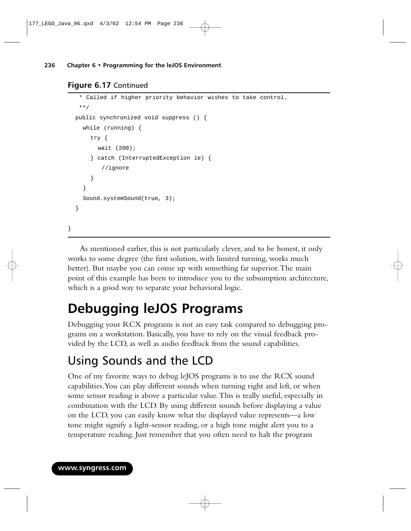### **Figure 6.17** Continued

}

```
Called if higher priority behavior wishes to take control.
 **/
public synchronized void suppress () {
  while (running) {
    try {
      wait (200);
    } catch (InterruptedException ie) {
        //ignore
    }
  }
  Sound.systemSound(true, 3);
}
```
As mentioned earlier, this is not particularly clever, and to be honest, it only works to some degree (the first solution, with limited turning, works much better). But maybe you can come up with something far superior.The main point of this example has been to introduce you to the subsumption architecture, which is a good way to separate your behavioral logic.

# **Debugging leJOS Programs**

Debugging your RCX programs is not an easy task compared to debugging programs on a workstation. Basically, you have to rely on the visual feedback provided by the LCD, as well as audio feedback from the sound capabilities.

## Using Sounds and the LCD

One of my favorite ways to debug leJOS programs is to use the RCX sound capabilities.You can play different sounds when turning right and left, or when some sensor reading is above a particular value.This is really useful, especially in combination with the LCD. By using different sounds before displaying a value on the LCD, you can easily know what the displayed value represents—a low tone might signify a light-sensor reading, or a high tone might alert you to a temperature reading. Just remember that you often need to halt the program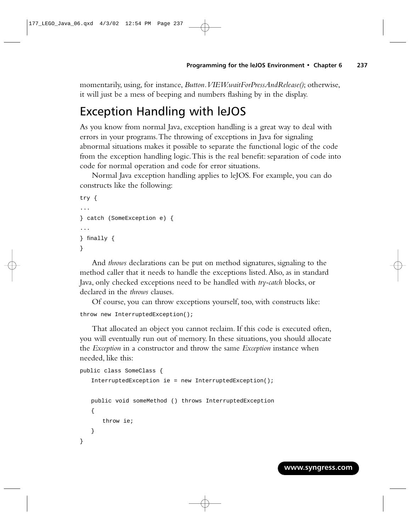momentarily, using, for instance, *Button.VIEW.waitForPressAndRelease()*; otherwise, it will just be a mess of beeping and numbers flashing by in the display.

## Exception Handling with leJOS

As you know from normal Java, exception handling is a great way to deal with errors in your programs.The throwing of exceptions in Java for signaling abnormal situations makes it possible to separate the functional logic of the code from the exception handling logic.This is the real benefit: separation of code into code for normal operation and code for error situations.

Normal Java exception handling applies to leJOS. For example, you can do constructs like the following:

```
try {
} catch (SomeException e) {
...
} finally {
}
```
And *throws* declarations can be put on method signatures, signaling to the method caller that it needs to handle the exceptions listed.Also, as in standard Java, only checked exceptions need to be handled with *try-catch* blocks, or declared in the *throws* clauses.

Of course, you can throw exceptions yourself, too, with constructs like:

```
throw new InterruptedException();
```
That allocated an object you cannot reclaim. If this code is executed often, you will eventually run out of memory. In these situations, you should allocate the *Exception* in a constructor and throw the same *Exception* instance when needed, like this:

```
public class SomeClass {
   InterruptedException ie = new InterruptedException();
   public void someMethod () throws InterruptedException
   {
      throw ie;
   }
}
```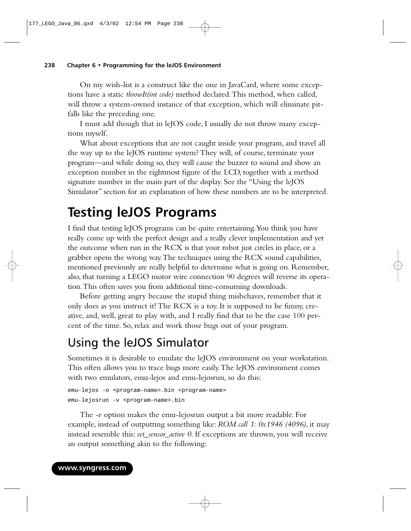On my wish-list is a construct like the one in JavaCard, where some exceptions have a static *throwIt(int code)* method declared.This method, when called, will throw a system-owned instance of that exception, which will eliminate pitfalls like the preceding one.

I must add though that in leJOS code, I usually do not throw many exceptions myself.

What about exceptions that are not caught inside your program, and travel all the way up to the leJOS runtime system? They will, of course, terminate your program—and while doing so, they will cause the buzzer to sound and show an exception number in the rightmost figure of the LCD, together with a method signature number in the main part of the display. See the "Using the leJOS Simulator" section for an explanation of how these numbers are to be interpreted.

# **Testing leJOS Programs**

I find that testing leJOS programs can be quite entertaining.You think you have really come up with the perfect design and a really clever implementation and yet the outcome when run in the RCX is that your robot just circles in place, or a grabber opens the wrong way.The techniques using the RCX sound capabilities, mentioned previously are really helpful to determine what is going on. Remember, also, that turning a LEGO motor wire connection 90 degrees will reverse its operation.This often saves you from additional time-consuming downloads.

Before getting angry because the stupid thing misbehaves, remember that it only does as you instruct it! The RCX is a toy. It is supposed to be funny, creative, and, well, great to play with, and I really find that to be the case 100 percent of the time. So, relax and work those bugs out of your program.

## Using the leJOS Simulator

Sometimes it is desirable to emulate the leJOS environment on your workstation. This often allows you to trace bugs more easily.The leJOS environment comes with two emulators, emu-lejos and emu-lejosrun, so do this:

```
emu-lejos -o <program-name>.bin <program-name>
emu-lejosrun -v <program-name>.bin
```
The *-v* option makes the emu-lejosrun output a bit more readable. For example, instead of outputting something like: *ROM call 1: 0x1946 (4096)*, it may instead resemble this: *set\_sensor\_active 0*. If exceptions are thrown, you will receive an output something akin to the following: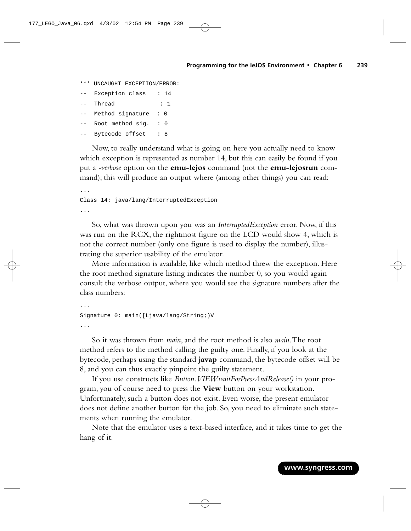```
*** UNCAUGHT EXCEPTION/ERROR:
```

```
-- Exception class : 14
```

```
-- Thread : 1
```

```
-- Method signature : 0
```

```
-- Root method sig. : 0
```

```
-- Bytecode offset : 8
```
Now, to really understand what is going on here you actually need to know which exception is represented as number 14, but this can easily be found if you put a *-verbose* option on the **emu-lejos** command (not the **emu-lejosrun** command); this will produce an output where (among other things) you can read:

```
...
Class 14: java/lang/InterruptedException
```
So, what was thrown upon you was an *InterruptedException* error. Now, if this was run on the RCX, the rightmost figure on the LCD would show 4, which is not the correct number (only one figure is used to display the number), illustrating the superior usability of the emulator.

More information is available, like which method threw the exception. Here the root method signature listing indicates the number 0, so you would again consult the verbose output, where you would see the signature numbers after the class numbers:

```
Signature 0: main([Ljava/lang/String;)V
...
```
So it was thrown from *main*, and the root method is also *main*.The root method refers to the method calling the guilty one. Finally, if you look at the bytecode, perhaps using the standard **javap** command, the bytecode offset will be 8, and you can thus exactly pinpoint the guilty statement.

If you use constructs like *Button.VIEW.waitForPressAndRelease()* in your program, you of course need to press the **View** button on your workstation. Unfortunately, such a button does not exist. Even worse, the present emulator does not define another button for the job. So, you need to eliminate such statements when running the emulator.

Note that the emulator uses a text-based interface, and it takes time to get the hang of it.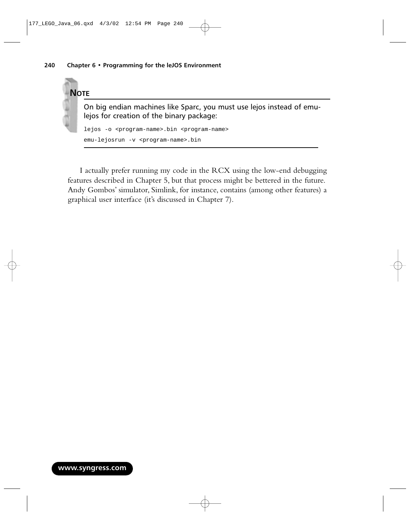

On big endian machines like Sparc, you must use lejos instead of emulejos for creation of the binary package:

lejos -o <program-name>.bin <program-name> emu-lejosrun -v <program-name>.bin

I actually prefer running my code in the RCX using the low-end debugging features described in Chapter 5, but that process might be bettered in the future. Andy Gombos' simulator, Simlink, for instance, contains (among other features) a graphical user interface (it's discussed in Chapter 7).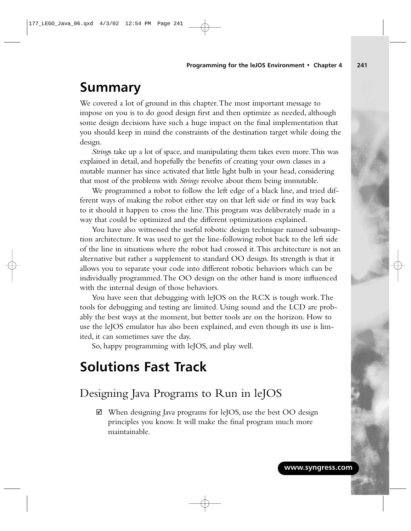# **Summary**

We covered a lot of ground in this chapter. The most important message to impose on you is to do good design first and then optimize as needed, although some design decisions have such a huge impact on the final implementation that you should keep in mind the constraints of the destination target while doing the design.

*String*s take up a lot of space, and manipulating them takes even more.This was explained in detail, and hopefully the benefits of creating your own classes in a mutable manner has since activated that little light bulb in your head, considering that most of the problems with *Strings* revolve about them being immutable.

We programmed a robot to follow the left edge of a black line, and tried different ways of making the robot either stay on that left side or find its way back to it should it happen to cross the line.This program was deliberately made in a way that could be optimized and the different optimizations explained.

You have also witnessed the useful robotic design technique named subsumption architecture. It was used to get the line-following robot back to the left side of the line in situations where the robot had crossed it.This architecture is not an alternative but rather a supplement to standard OO design. Its strength is that it allows you to separate your code into different robotic behaviors which can be individually programmed.The OO design on the other hand is more influenced with the internal design of those behaviors.

You have seen that debugging with leJOS on the RCX is tough work. The tools for debugging and testing are limited. Using sound and the LCD are probably the best ways at the moment, but better tools are on the horizon. How to use the leJOS emulator has also been explained, and even though its use is limited, it can sometimes save the day.

So, happy programming with leJOS, and play well.

# **Solutions Fast Track**

## Designing Java Programs to Run in leJOS

⊠ When designing Java programs for leJOS, use the best OO design principles you know. It will make the final program much more maintainable.

**www.syngress.com**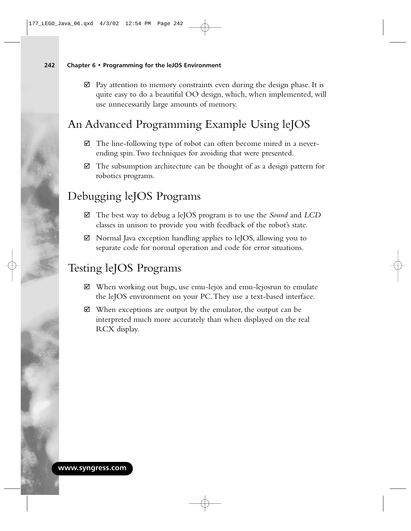$\boxtimes$  Pay attention to memory constraints even during the design phase. It is quite easy to do a beautiful OO design, which, when implemented, will use unnecessarily large amounts of memory.

## An Advanced Programming Example Using leJOS

- ⊠ The line-following type of robot can often become mired in a neverending spin.Two techniques for avoiding that were presented.
- $\boxtimes$  The subsumption architecture can be thought of as a design pattern for robotics programs.

## Debugging leJOS Programs

- The best way to debug a leJOS program is to use the *Sound* and *LCD* classes in unison to provide you with feedback of the robot's state.
- ⊠ Normal Java exception handling applies to leJOS, allowing you to separate code for normal operation and code for error situations.

## Testing leJOS Programs

- ⊠ When working out bugs, use emu-lejos and emu-lejosrun to emulate the leJOS environment on your PC.They use a text-based interface.
- $\boxtimes$  When exceptions are output by the emulator, the output can be interpreted much more accurately than when displayed on the real RCX display.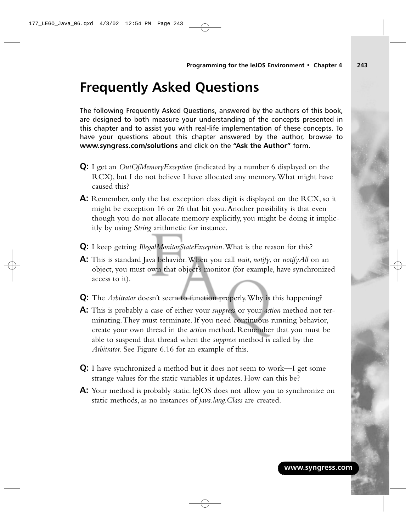## **Frequently Asked Questions**

The following Frequently Asked Questions, answered by the authors of this book, are designed to both measure your understanding of the concepts presented in this chapter and to assist you with real-life implementation of these concepts. To have your questions about this chapter answered by the author, browse to **www.syngress.com/solutions** and click on the **"Ask the Author"** form.

- **Q:** I get an *OutOfMemoryException* (indicated by a number 6 displayed on the RCX), but I do not believe I have allocated any memory.What might have caused this?
- **A:** Remember, only the last exception class digit is displayed on the RCX, so it might be exception 16 or 26 that bit you.Another possibility is that even though you do not allocate memory explicitly, you might be doing it implicitly by using *String* arithmetic for instance.
- **Q:** I keep getting *IllegalMonitorStateException*.What is the reason for this?
- **A:** This is standard Java behavior.When you call *wait*, *notify*, or *notifyAll* on an object, you must own that object's monitor (for example, have synchronized access to it).
- **Q:** The *Arbitrator* doesn't seem to function properly.Why is this happening?
- **A:** This is probably a case of either your *suppress* or your *action* method not terminating.They must terminate. If you need continuous running behavior, create your own thread in the *action* method. Remember that you must be able to suspend that thread when the *suppress* method is called by the *Arbitrator*. See Figure 6.16 for an example of this.
- **Q:** I have synchronized a method but it does not seem to work—I get some strange values for the static variables it updates. How can this be?
- **A:** Your method is probably static. leJOS does not allow you to synchronize on static methods, as no instances of *java.lang.Class* are created.